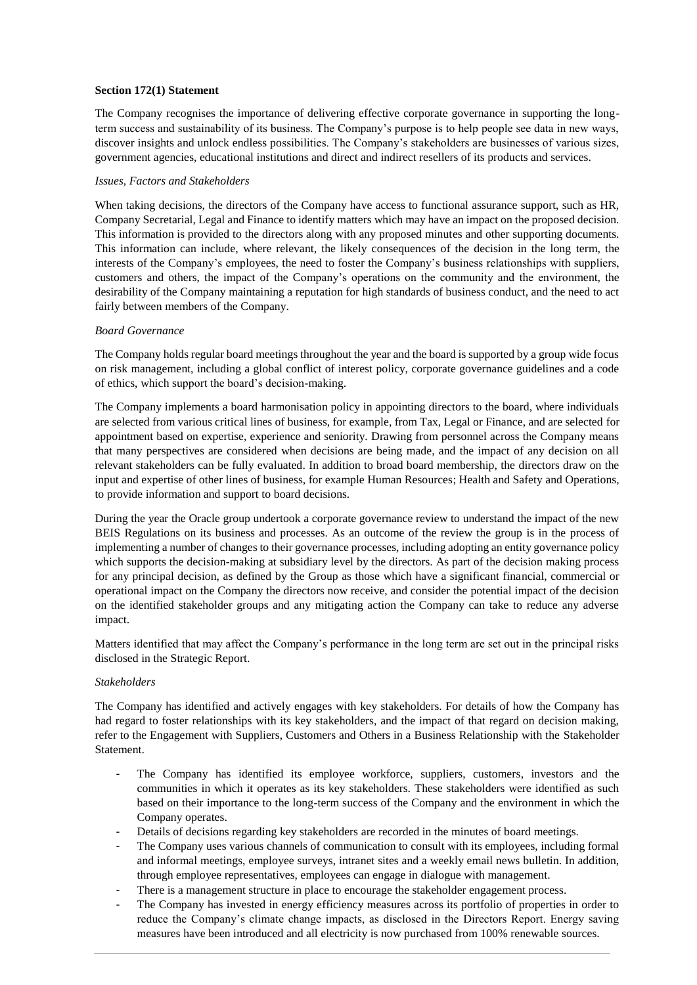# **Section 172(1) Statement**

 The Company recognises the importance of delivering effective corporate governance in supporting the long- term success and sustainability of its business. The Company's purpose is to help people see data in new ways, discover insights and unlock endless possibilities. The Company's stakeholders are businesses of various sizes, government agencies, educational institutions and direct and indirect resellers of its products and services.

# *Issues, Factors and Stakeholders*

 When taking decisions, the directors of the Company have access to functional assurance support, such as HR, Company Secretarial, Legal and Finance to identify matters which may have an impact on the proposed decision. This information is provided to the directors along with any proposed minutes and other supporting documents. This information can include, where relevant, the likely consequences of the decision in the long term, the interests of the Company's employees, the need to foster the Company's business relationships with suppliers, customers and others, the impact of the Company's operations on the community and the environment, the desirability of the Company maintaining a reputation for high standards of business conduct, and the need to act fairly between members of the Company.

### *Board Governance*

 The Company holds regular board meetings throughout the year and the board is supported by a group wide focus on risk management, including a global conflict of interest policy, corporate governance guidelines and a code of ethics, which support the board's decision-making.

 The Company implements a board harmonisation policy in appointing directors to the board, where individuals are selected from various critical lines of business, for example, from Tax, Legal or Finance, and are selected for appointment based on expertise, experience and seniority. Drawing from personnel across the Company means that many perspectives are considered when decisions are being made, and the impact of any decision on all relevant stakeholders can be fully evaluated. In addition to broad board membership, the directors draw on the input and expertise of other lines of business, for example Human Resources; Health and Safety and Operations, to provide information and support to board decisions.

 During the year the Oracle group undertook a corporate governance review to understand the impact of the new BEIS Regulations on its business and processes. As an outcome of the review the group is in the process of implementing a number of changes to their governance processes, including adopting an entity governance policy which supports the decision-making at subsidiary level by the directors. As part of the decision making process for any principal decision, as defined by the Group as those which have a significant financial, commercial or operational impact on the Company the directors now receive, and consider the potential impact of the decision on the identified stakeholder groups and any mitigating action the Company can take to reduce any adverse impact.

 Matters identified that may affect the Company's performance in the long term are set out in the principal risks disclosed in the Strategic Report.

#### *Stakeholders*

 The Company has identified and actively engages with key stakeholders. For details of how the Company has had regard to foster relationships with its key stakeholders, and the impact of that regard on decision making, refer to the Engagement with Suppliers, Customers and Others in a Business Relationship with the Stakeholder Statement.

- - The Company has identified its employee workforce, suppliers, customers, investors and the communities in which it operates as its key stakeholders. These stakeholders were identified as such based on their importance to the long-term success of the Company and the environment in which the Company operates.
- Details of decisions regarding key stakeholders are recorded in the minutes of board meetings.
- - The Company uses various channels of communication to consult with its employees, including formal and informal meetings, employee surveys, intranet sites and a weekly email news bulletin. In addition, through employee representatives, employees can engage in dialogue with management.
- There is a management structure in place to encourage the stakeholder engagement process.
- - The Company has invested in energy efficiency measures across its portfolio of properties in order to reduce the Company's climate change impacts, as disclosed in the Directors Report. Energy saving measures have been introduced and all electricity is now purchased from 100% renewable sources.